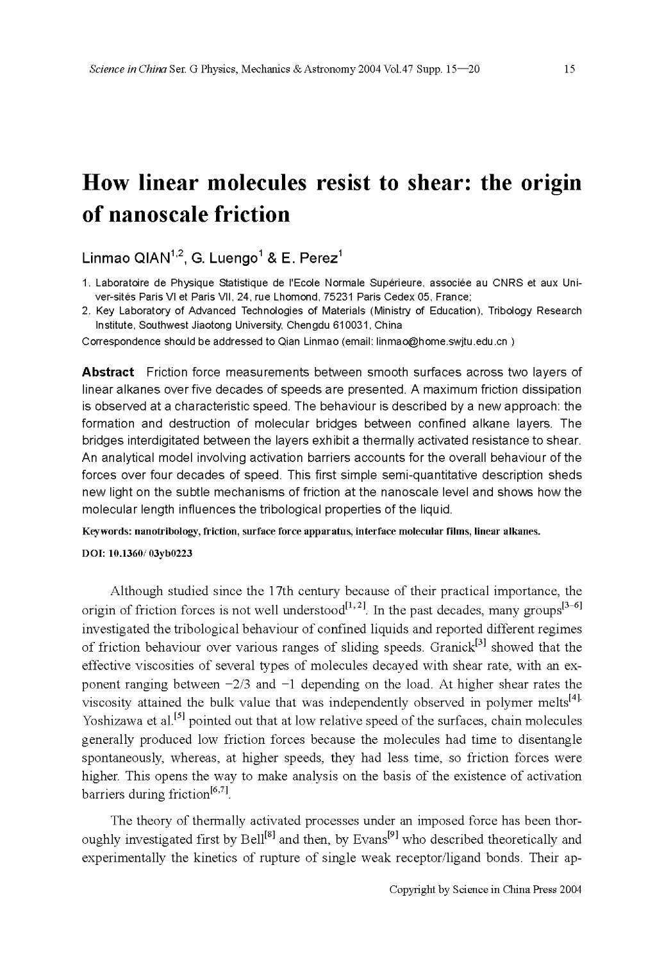# **How linear molecules resist to shear: the origin of nanoscale friction**

Linmao QIAN<sup>1,2</sup>, G. Luengo<sup>1</sup> & E. Perez<sup>1</sup>

- 1. Laboratoire de Physique Statistique de l'Ecole Normale Supérieure, associée au CNRS et aux Univer-sites Paris Vl et Paris VII, 24, rue Lhomond, 75231 Paris Cedex 05, France;
- 2. Key Laboratory of Advanced Technologies of Materials (Ministry of Education), Tribology Research Institute, Southwest Jiaotong University, Chengdu 610031, China

Correspondence should be addressed to Qian Linmao (email: linmao@home.swjtu.edu.cn )

**Abstract** Friction force measurements between smooth surfaces across two layers of linear alkanes over five decades of speeds are presented. A maximum friction dissipation is observed at a characteristic speed. The behaviour is described by a new approach: the formation and destruction of molecular bridges between confined alkane layers. The bridges interdigitated between the layers exhibit a thermally activated resistance to shear. An analytical model involving activation barriers accounts for the overall behaviour of the forces over four decades of speed. This first simple semi-quantitative description sheds new light on the subtle mechanisms of friction at the nanoscale level and shows how the molecular length influences the tribological properties of the liquid.

Keywords: nanotribology, friction, surface force apparatus, interface molecular films, linear alkanes.

**DOI:** 10.1360/03yb0223

Although studied since the 1 7th century because of their practical importance, the origin of friction forces is not well understood<sup>[1,2]</sup>. In the past decades, many groups<sup>[3-6]</sup> investigated the tribological behaviour of confined liquids and reported different regimes of friction behaviour over various ranges of sliding speeds. Granick<sup>[3]</sup> showed that the effective viscosities of several types of molecules decayed with shear rate, with an exponent ranging between  $-2/3$  and  $-1$  depending on the load. At higher shear rates the viscosity attained the bulk value that was independently observed in polymer melts<sup>[4].</sup> Yoshizawa et al.<sup>[5]</sup> pointed out that at low relative speed of the surfaces, chain molecules generally produced low friction forces because the molecules had time to disentangle spontaneously, whereas, at higher speeds, they had less time, so friction forces were higher. This opens the way to make analysis on the basis of the existence of activation barriers during friction<sup>[6,7]</sup>.

The theory of thermally activated processes under an imposed force has been thoroughly investigated first by Bell<sup>[8]</sup> and then, by Evans<sup>[9]</sup> who described theoretically and experimentally the kinetics of rupture of single weak receptor/ligand bonds. Their ap-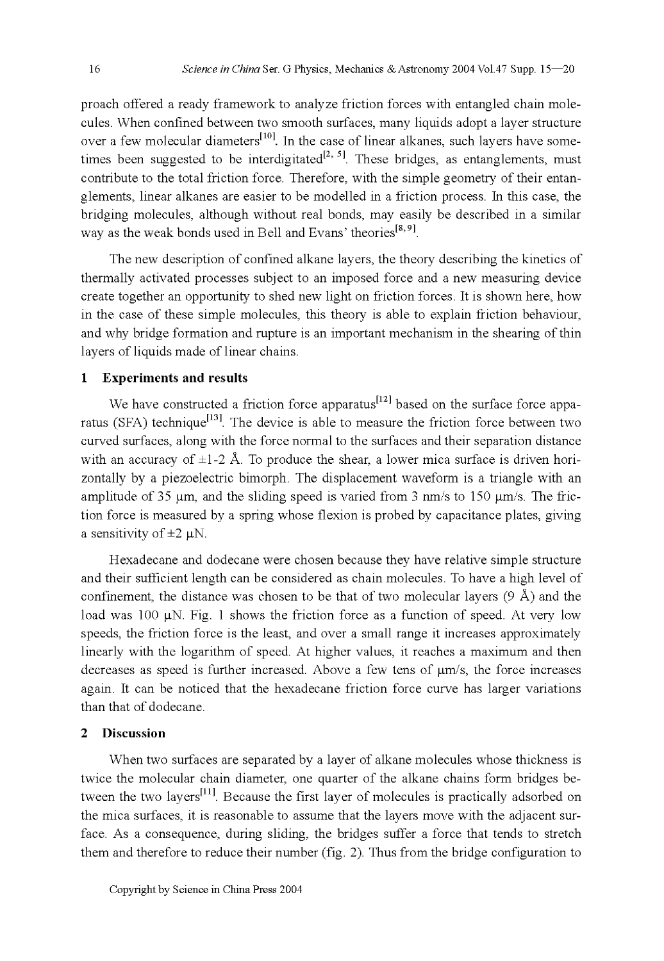proach offered a ready framework to analyze friction forces with entangled chain molecules. When confined between two smooth surfaces, many liquids adopt a layer structure over a few molecular diameters $[10]$ . In the case of linear alkanes, such layers have sometimes been suggested to be interdigitated  $[2, 5]$ . These bridges, as entanglements, must contribute to the total friction force. Therefore, with the simple geometry of their entanglements, linear alkanes are easier to be modelled in a friction process. In this case, the bridging molecules, although without real bonds, may easily be described in a similar way as the weak bonds used in Bell and Evans' theories<sup>[8,9]</sup>.

The new description of confined alkane layers, the theory describing the kinetics of thermally activated processes subject to an imposed force and a new measuring device create together an opportunity to shed new light on friction forces. It is shown here, how in the case of these simple molecules, this theory is able to explain friction behaviour, and why bridge formation and rupture is an important mechanism in the shearing of thin layers of liquids made of linear chains.

#### **1 Experiments and results**

We have constructed a friction force apparatus $^{[12]}$  based on the surface force apparatus (SFA) technique<sup>[13]</sup>. The device is able to measure the friction force between two curved surfaces, along with the force normal to the surfaces and their separation distance with an accuracy of  $\pm 1$ -2 Å. To produce the shear, a lower mica surface is driven horizontally by a piezoelectric bimorph. The displacement waveform is a triangle with an amplitude of 35  $\mu$ m, and the sliding speed is varied from 3 nm/s to 150  $\mu$ m/s. The friction force is measured by a spring whose flexion is probed by capacitance plates, giving a sensitivity of  $\pm 2 \mu$ N.

Hexadecane and dodecane were chosen because they have relative simple structure and their sufficient length can be considered as chain molecules. To have a high level of confinement, the distance was chosen to be that of two molecular layers  $(9 \text{ Å})$  and the load was 100  $\mu$ N. Fig. 1 shows the friction force as a function of speed. At very low speeds, the friction force is the least, and over a small range it increases approximately linearly with the logarithm of speed. At higher values, it reaches a maximum and then decreases as speed is further increased. Above a few tens of  $\mu$ m/s, the force increases again. It can be noticed that the hexadecane friction force curve has larger variations than that of dodecane.

## **2 Discussion**

When two surfaces are separated by a layer of alkane molecules whose thickness is twice the molecular chain diameter, one quarter of the alkane chains form bridges between the two layers $\left[11\right]$ . Because the first layer of molecules is practically adsorbed on the mica surfaces, it is reasonable to assume that the layers move with the adjacent surface. As a consequence, during sliding, the bridges suffer a force that tends to stretch them and therefore to reduce their number (fig. 2). Thus from the bridge configuration to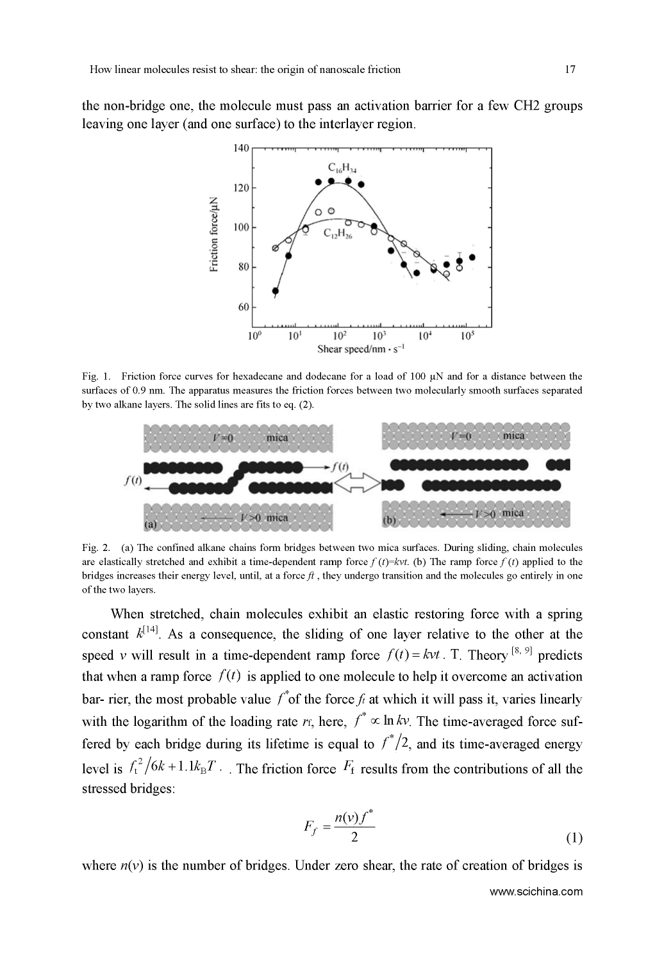the non-bridge one, the molecule must pass am activation barrier for a few CH2 groups leaving one layer (and one surface) to the interlayer region.



Fig. 1. Friction force curves for hexadecane and dodecane for a load of 100  $\mu$ N and for a distance between the surfaces of 0.9 nm. The apparatus measures the friction forces between two molecularly smooth surfaces separated by two alkane layers. The solid lines are fits to eq. (2).



Fig. 2. (a) The confined alkane chains form bridges between two mica surfaces. During sliding, chain molecules are elastically stretched and exhibit a time-dependent ramp force  $f(t) = kvt$ . (b) The ramp force  $f(t)$  applied to the bridges increases their energy level, until, at a force  $ft$ , they undergo transition and the molecules go entirely in one of the two layers.

When stretched, chain molecules exhibit an elastic restoring force with a spring constant  $k^{[14]}$ . As a consequence, the sliding of one layer relative to the other at the speed v will result in a time-dependent ramp force  $f(t) = kvt$ . T. Theory <sup>[8, 9]</sup> predicts that when a ramp force  $f(t)$  is applied to one molecule to help it overcome an activation bar- rier, the most probable value  $f^*$  of the force  $f_t$  at which it will pass it, varies linearly with the logarithm of the loading rate  $r_f$ , here,  $f^* \propto \ln k v$ . The time-averaged force suffered by each bridge during its lifetime is equal to  $f^*/2$ , and its time-averaged energy level is  $f_t^2/6k + 1.1k_BT$ . The friction force  $F_t$  results from the contributions of all the stressed bridges:

$$
F_f = \frac{n(v)f^*}{2} \tag{1}
$$

where  $n(v)$  is the number of bridges. Under zero shear, the rate of creation of bridges is

www.scichina.com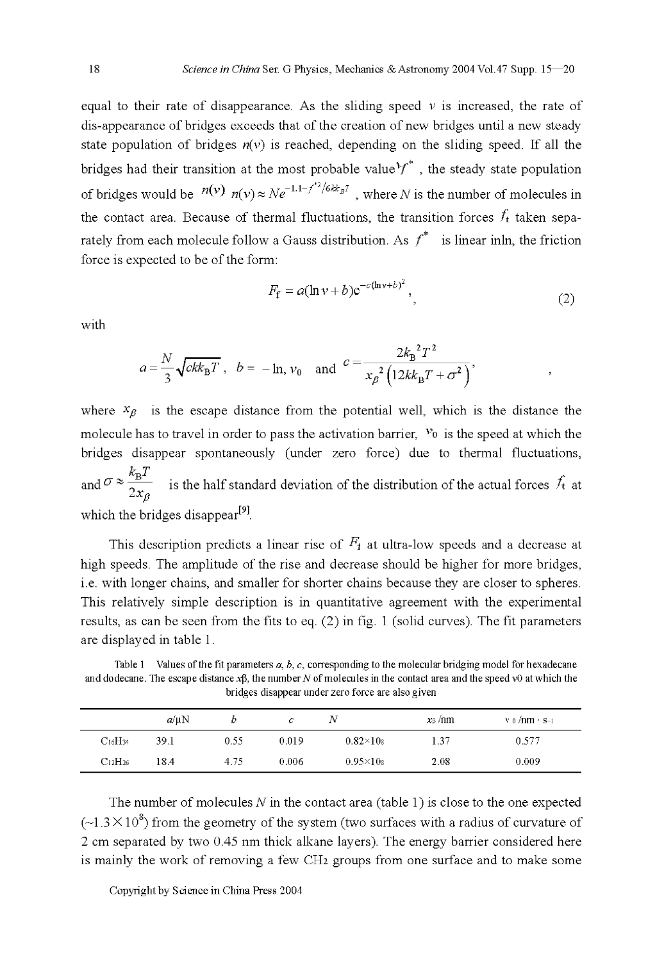equal to their rate of disappearance. As the sliding speed  $\nu$  is increased, the rate of dis-appearance of bridges exceeds that of the creation of new bridges until a new steady state population of bridges  $n(v)$  is reached, depending on the sliding speed. If all the bridges had their transition at the most probable value  $f^*$ , the steady state population of bridges would be  $n(v)$   $n(v) \approx Ne^{-1.1-f^{*2}/6kk_B T}$ , where N is the number of molecules in the contact area. Because of thermal fluctuations, the transition forces  $f_t$  taken separately from each molecule follow a Gauss distribution. As  $f^*$  is linear inln, the friction force is expected to be of the form:

$$
F_{\mathbf{f}} = a(\ln v + b) e^{-c(\ln v + b)^2}, \qquad (2)
$$

with

$$
a = \frac{N}{3} \sqrt{ckk_B T}
$$
,  $b = -\ln, v_0$  and  $c = \frac{2k_B^2 T^2}{x_p^2 (12k k_B T + \sigma^2)}$ ,

where  $x_{\beta}$  is the escape distance from the potential well, which is the distance the molecule has to travel in order to pass the activation barrier,  $v_0$  is the speed at which the bridges disappear spontaneously (under zero force) due to thermal fluctuations, and  $\sigma \approx \frac{k_B T}{2x_e}$  is the half standard deviation of the distribution of the actual forces  $f_t$  at which the bridges disappear<sup>[9]</sup>.

This description predicts a linear rise of  $F_4$  at ultra-low speeds and a decrease at high speeds. The amplitude of the rise and decrease should be higher for more bridges, i.e. with longer chains, and smaller for shorter chains because they are closer to spheres. This relatively simple description is in quantitative agreement with the experimental results, as can be seen from the fits to eq. (2) in fig. 1 (solid curves). The fit parameters are displayed in table 1.

Table 1 Values of the fit parameters  $a, b, c$ , corresponding to the molecular bridging model for hexadecane and dodecane. The escape distance  $x\beta$ , the number N of molecules in the contact area and the speed v0 at which the bridges disappear under zero force are also given

|                | $a/\mu N$ |      | с     | Ν               | $x_{\beta}$ /nm | $v_0/mm$ $s_{-1}$ |
|----------------|-----------|------|-------|-----------------|-----------------|-------------------|
| $C_{16}H_{34}$ | 39.1      | 0.55 | 0.019 | $0.82\times108$ | 1.37            | 0.577             |
| $C_{12}H_{26}$ | 18.4      | 4.75 | 0.006 | $0.95\times108$ | 2.08            | 0.009             |

The number of molecules  $N$  in the contact area (table 1) is close to the one expected  $(\sim 1.3 \times 10^8)$  from the geometry of the system (two surfaces with a radius of curvature of 2 cm separated by two 0.45 nm thick alkane layers). The energy barrier considered here is mainly the work of removing a few CH2 groups from one surface and to make some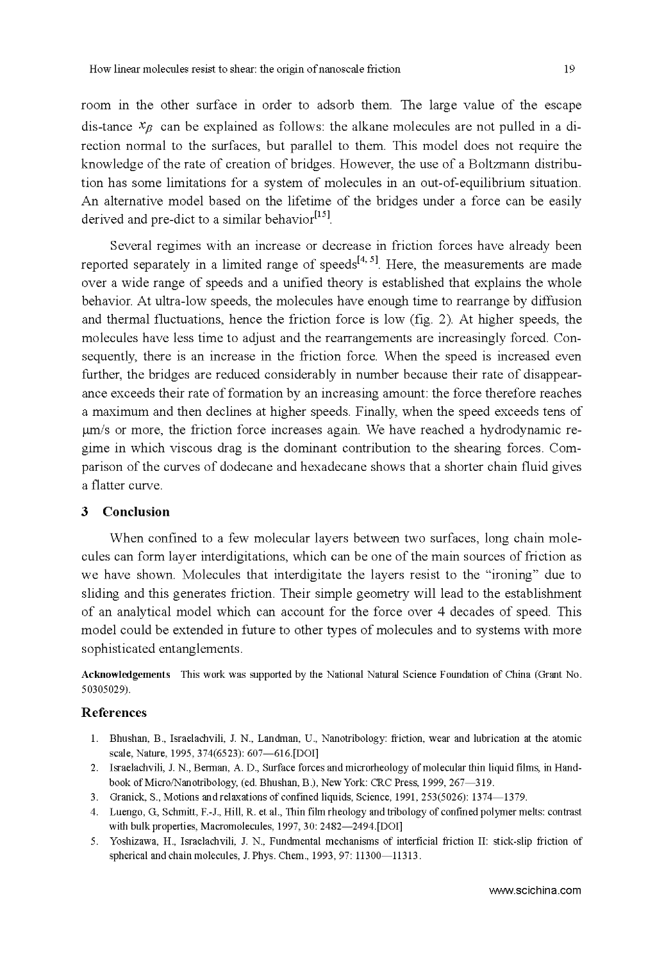room in the other surface in order to adsorb them. The large value of the escape dis-tance  $x_B$  can be explained as follows: the alkane molecules are not pulled in a direction normal to the surfaces, but parallel to them. This model does not require the knowledge of the rate of creation of bridges. However, the use of a Boltzmann distribution has some limitations for a system of molecules in an out-of-equilibrium situation. An alternative model based on the lifetime of the bridges under a force can be easily derived and pre-dict to a similar behavior $^{[15]}$ .

Several regimes with an increase or decrease in friction forces have already been reported separately in a limited range of speeds $[4, 5]$ . Here, the measurements are made over a wide range of speeds and a unified theory is established that explains the whole behavior. At ultra-low speeds, the molecules have enough time to rearrange by diffusion and thermal fluctuations, hence the friction force is low (fig. 2). At higher speeds, the molecules have less time to adjust and the rearrangements are increasingly forced. Consequently, there is an increase in the friction force. When the speed is increased even further, the bridges are reduced considerably in number because their rate of disappearance exceeds their rate of formation by an increasing amount: the force therefore reaches a maximum and then declines at higher speeds. Finally, when the speed exceeds tens of gm/s or more, the friction force increases again. We have reached a hydrodynamic regime in which viscous drag is the dominant contribution to the shearing forces. Comparison of the curves of dodecane and hexadecane shows that a shorter chain fluid gives a flatter curve.

### **3 Conclusion**

When confined to a few molecular layers between two surfaces, long chain molecules can form layer interdigitations, which can be one of the main sources of friction as we have shown. Molecules that interdigitate the layers resist to the "ironing" due to sliding and this generates friction. Their simple geometry will lead to the establishment of an analytical model which can account for the force over 4 decades of speed. This model could be extended in future to other types of molecules and to systems with more sophisticated entanglements.

**Acknowledgements** This work was supported by the National Natural Science Foundation of China (Grant No. 50305029).

#### **References**

- 1. Bhushan, B., Israelachvili, J. N., Landman, U., Nanotribology: friction, wear and lubrication at the atomic scale, Nature, 1995, 374(6523): 607-616.[DOI]
- 2. Israelachvili, J. N., Berman, A. D., Surface forces and microrheology of molecular thin liquid films, in Handbook of Micro/Nanotribology, (ed. Bhushan, B.), New York: CRC Press, 1999, 267-319.
- 3. Granick, S., Motions andrelaxations of confined liquids, Science, 1991, 253(5026): 1374 1379.
- 4. Luengo, G, Schmitt, F.-J., Hill, R. et al., Thin film rheology and tribology of confined polymer melts: contrast with bulk properties, Macromolecules, 1997, 30: 2482-2494.[DOI]
- 5. Yoshizawa, H., Israelachvili, J. N., Fundmental mechanisms of interficial friction II: stick-slip friction of spherical and chain molecules, J. Phys. Chem., 1993, 97: 11300-11313.